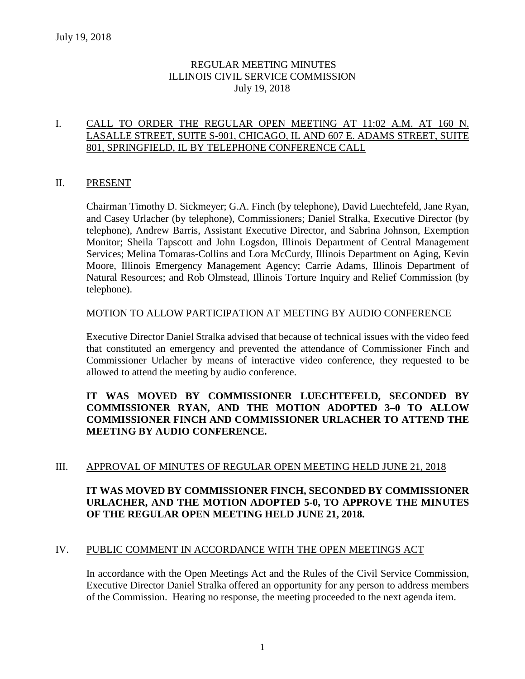# REGULAR MEETING MINUTES ILLINOIS CIVIL SERVICE COMMISSION July 19, 2018

# I. CALL TO ORDER THE REGULAR OPEN MEETING AT 11:02 A.M. AT 160 N. LASALLE STREET, SUITE S-901, CHICAGO, IL AND 607 E. ADAMS STREET, SUITE 801, SPRINGFIELD, IL BY TELEPHONE CONFERENCE CALL

# II. PRESENT

Chairman Timothy D. Sickmeyer; G.A. Finch (by telephone), David Luechtefeld, Jane Ryan, and Casey Urlacher (by telephone), Commissioners; Daniel Stralka, Executive Director (by telephone), Andrew Barris, Assistant Executive Director, and Sabrina Johnson, Exemption Monitor; Sheila Tapscott and John Logsdon, Illinois Department of Central Management Services; Melina Tomaras-Collins and Lora McCurdy, Illinois Department on Aging, Kevin Moore, Illinois Emergency Management Agency; Carrie Adams, Illinois Department of Natural Resources; and Rob Olmstead, Illinois Torture Inquiry and Relief Commission (by telephone).

### MOTION TO ALLOW PARTICIPATION AT MEETING BY AUDIO CONFERENCE

Executive Director Daniel Stralka advised that because of technical issues with the video feed that constituted an emergency and prevented the attendance of Commissioner Finch and Commissioner Urlacher by means of interactive video conference, they requested to be allowed to attend the meeting by audio conference.

# **IT WAS MOVED BY COMMISSIONER LUECHTEFELD, SECONDED BY COMMISSIONER RYAN, AND THE MOTION ADOPTED 3–0 TO ALLOW COMMISSIONER FINCH AND COMMISSIONER URLACHER TO ATTEND THE MEETING BY AUDIO CONFERENCE.**

# III. APPROVAL OF MINUTES OF REGULAR OPEN MEETING HELD JUNE 21, 2018

# **IT WAS MOVED BY COMMISSIONER FINCH, SECONDED BY COMMISSIONER URLACHER, AND THE MOTION ADOPTED 5-0, TO APPROVE THE MINUTES OF THE REGULAR OPEN MEETING HELD JUNE 21, 2018.**

# IV. PUBLIC COMMENT IN ACCORDANCE WITH THE OPEN MEETINGS ACT

In accordance with the Open Meetings Act and the Rules of the Civil Service Commission, Executive Director Daniel Stralka offered an opportunity for any person to address members of the Commission. Hearing no response, the meeting proceeded to the next agenda item.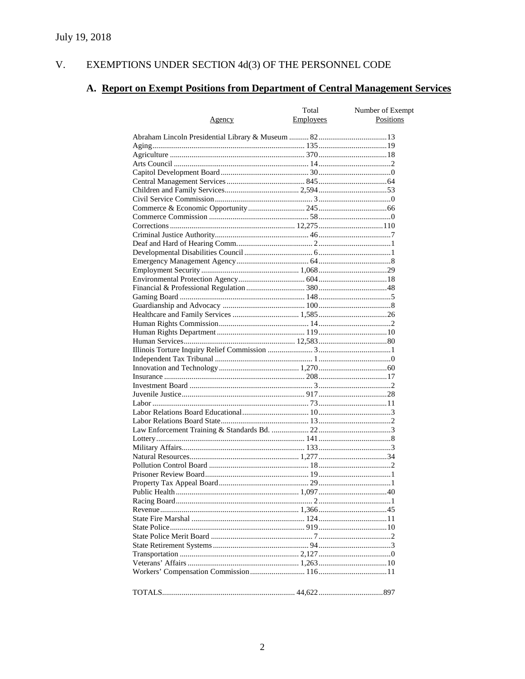#### EXEMPTIONS UNDER SECTION  $4d(3)$  OF THE PERSONNEL CODE V.

# A. Report on Exempt Positions from Department of Central Management Services

|        | Total     | Number of Exempt |
|--------|-----------|------------------|
| Agency | Employees | Positions        |
|        |           |                  |
|        |           |                  |
|        |           |                  |
|        |           |                  |
|        |           |                  |
|        |           |                  |
|        |           |                  |
|        |           |                  |
|        |           |                  |
|        |           |                  |
|        |           |                  |
|        |           |                  |
|        |           |                  |
|        |           |                  |
|        |           |                  |
|        |           |                  |
|        |           |                  |
|        |           |                  |
|        |           |                  |
|        |           |                  |
|        |           |                  |
|        |           |                  |
|        |           |                  |
|        |           |                  |
|        |           |                  |
|        |           |                  |
|        |           |                  |
|        |           |                  |
|        |           |                  |
|        |           |                  |
|        |           |                  |
|        |           |                  |
|        |           |                  |
|        |           |                  |
|        |           |                  |
|        |           |                  |
|        |           |                  |
|        |           |                  |
|        |           |                  |
|        |           |                  |
|        |           |                  |
|        |           |                  |
|        |           |                  |
|        |           |                  |
|        |           |                  |
|        |           |                  |
|        |           |                  |
|        |           |                  |
|        |           |                  |
|        |           |                  |
|        |           |                  |
|        |           |                  |
|        |           |                  |
|        |           |                  |
|        |           |                  |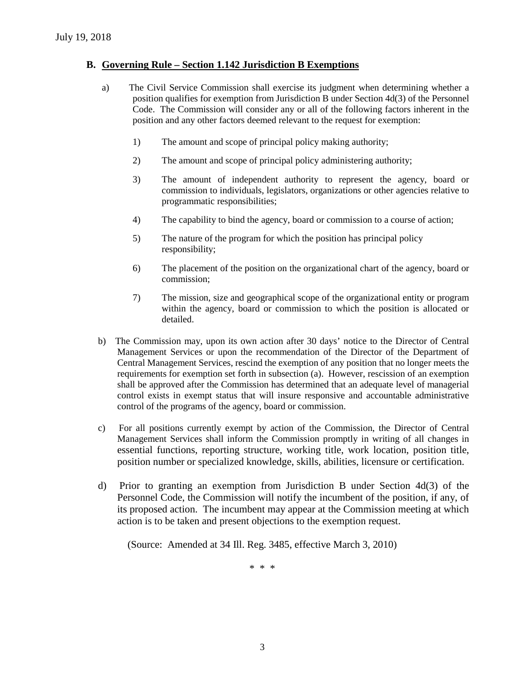# **B. Governing Rule – Section 1.142 Jurisdiction B Exemptions**

- a) The Civil Service Commission shall exercise its judgment when determining whether a position qualifies for exemption from Jurisdiction B under Section 4d(3) of the Personnel Code. The Commission will consider any or all of the following factors inherent in the position and any other factors deemed relevant to the request for exemption:
	- 1) The amount and scope of principal policy making authority;
	- 2) The amount and scope of principal policy administering authority;
	- 3) The amount of independent authority to represent the agency, board or commission to individuals, legislators, organizations or other agencies relative to programmatic responsibilities;
	- 4) The capability to bind the agency, board or commission to a course of action;
	- 5) The nature of the program for which the position has principal policy responsibility;
	- 6) The placement of the position on the organizational chart of the agency, board or commission;
	- 7) The mission, size and geographical scope of the organizational entity or program within the agency, board or commission to which the position is allocated or detailed.
- b) The Commission may, upon its own action after 30 days' notice to the Director of Central Management Services or upon the recommendation of the Director of the Department of Central Management Services, rescind the exemption of any position that no longer meets the requirements for exemption set forth in subsection (a). However, rescission of an exemption shall be approved after the Commission has determined that an adequate level of managerial control exists in exempt status that will insure responsive and accountable administrative control of the programs of the agency, board or commission.
- c) For all positions currently exempt by action of the Commission, the Director of Central Management Services shall inform the Commission promptly in writing of all changes in essential functions, reporting structure, working title, work location, position title, position number or specialized knowledge, skills, abilities, licensure or certification.
- d) Prior to granting an exemption from Jurisdiction B under Section 4d(3) of the Personnel Code, the Commission will notify the incumbent of the position, if any, of its proposed action. The incumbent may appear at the Commission meeting at which action is to be taken and present objections to the exemption request.

(Source: Amended at 34 Ill. Reg. 3485, effective March 3, 2010)

\* \* \*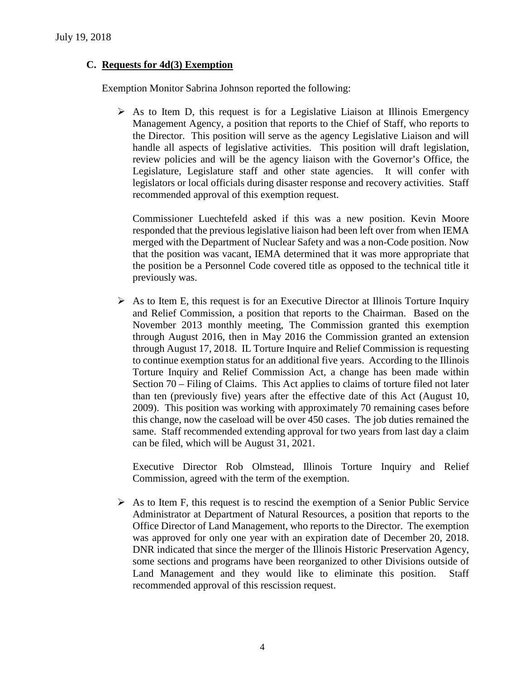# **C. Requests for 4d(3) Exemption**

Exemption Monitor Sabrina Johnson reported the following:

 $\triangleright$  As to Item D, this request is for a Legislative Liaison at Illinois Emergency Management Agency, a position that reports to the Chief of Staff, who reports to the Director. This position will serve as the agency Legislative Liaison and will handle all aspects of legislative activities. This position will draft legislation, review policies and will be the agency liaison with the Governor's Office, the Legislature, Legislature staff and other state agencies. It will confer with legislators or local officials during disaster response and recovery activities. Staff recommended approval of this exemption request.

Commissioner Luechtefeld asked if this was a new position. Kevin Moore responded that the previous legislative liaison had been left over from when IEMA merged with the Department of Nuclear Safety and was a non-Code position. Now that the position was vacant, IEMA determined that it was more appropriate that the position be a Personnel Code covered title as opposed to the technical title it previously was.

 $\triangleright$  As to Item E, this request is for an Executive Director at Illinois Torture Inquiry and Relief Commission, a position that reports to the Chairman. Based on the November 2013 monthly meeting, The Commission granted this exemption through August 2016, then in May 2016 the Commission granted an extension through August 17, 2018. IL Torture Inquire and Relief Commission is requesting to continue exemption status for an additional five years. According to the Illinois Torture Inquiry and Relief Commission Act, a change has been made within Section 70 – Filing of Claims. This Act applies to claims of torture filed not later than ten (previously five) years after the effective date of this Act (August 10, 2009). This position was working with approximately 70 remaining cases before this change, now the caseload will be over 450 cases. The job duties remained the same. Staff recommended extending approval for two years from last day a claim can be filed, which will be August 31, 2021.

Executive Director Rob Olmstead, Illinois Torture Inquiry and Relief Commission, agreed with the term of the exemption.

 $\triangleright$  As to Item F, this request is to rescind the exemption of a Senior Public Service Administrator at Department of Natural Resources, a position that reports to the Office Director of Land Management, who reports to the Director. The exemption was approved for only one year with an expiration date of December 20, 2018. DNR indicated that since the merger of the Illinois Historic Preservation Agency, some sections and programs have been reorganized to other Divisions outside of Land Management and they would like to eliminate this position. Staff recommended approval of this rescission request.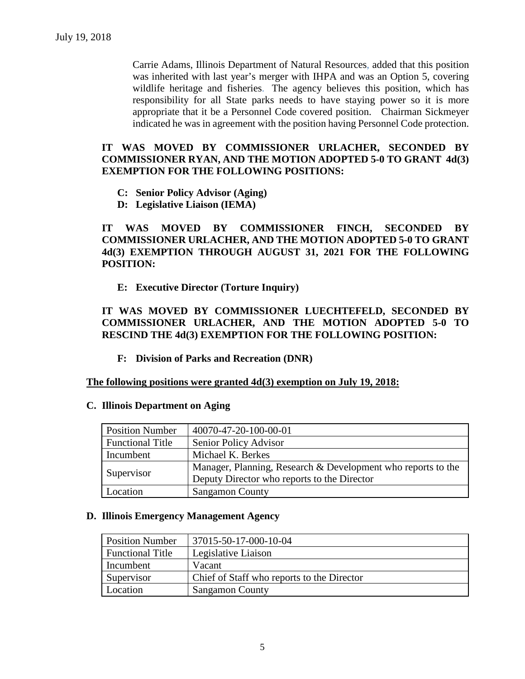Carrie Adams, Illinois Department of Natural Resources, added that this position was inherited with last year's merger with IHPA and was an Option 5, covering wildlife heritage and fisheries. The agency believes this position, which has responsibility for all State parks needs to have staying power so it is more appropriate that it be a Personnel Code covered position. Chairman Sickmeyer indicated he was in agreement with the position having Personnel Code protection.

### **IT WAS MOVED BY COMMISSIONER URLACHER, SECONDED BY COMMISSIONER RYAN, AND THE MOTION ADOPTED 5-0 TO GRANT 4d(3) EXEMPTION FOR THE FOLLOWING POSITIONS:**

- **C: Senior Policy Advisor (Aging)**
- **D: Legislative Liaison (IEMA)**

**IT WAS MOVED BY COMMISSIONER FINCH, SECONDED BY COMMISSIONER URLACHER, AND THE MOTION ADOPTED 5-0 TO GRANT 4d(3) EXEMPTION THROUGH AUGUST 31, 2021 FOR THE FOLLOWING POSITION:**

**E: Executive Director (Torture Inquiry)**

# **IT WAS MOVED BY COMMISSIONER LUECHTEFELD, SECONDED BY COMMISSIONER URLACHER, AND THE MOTION ADOPTED 5-0 TO RESCIND THE 4d(3) EXEMPTION FOR THE FOLLOWING POSITION:**

**F: Division of Parks and Recreation (DNR)**

#### **The following positions were granted 4d(3) exemption on July 19, 2018:**

#### **C. Illinois Department on Aging**

| <b>Position Number</b>  | 40070-47-20-100-00-01                                        |
|-------------------------|--------------------------------------------------------------|
| <b>Functional Title</b> | Senior Policy Advisor                                        |
| Incumbent               | Michael K. Berkes                                            |
|                         | Manager, Planning, Research & Development who reports to the |
| Supervisor              | Deputy Director who reports to the Director                  |
| Location                | <b>Sangamon County</b>                                       |

#### **D. Illinois Emergency Management Agency**

| <b>Position Number</b>  | 37015-50-17-000-10-04                      |
|-------------------------|--------------------------------------------|
| <b>Functional Title</b> | Legislative Liaison                        |
| Incumbent               | Vacant                                     |
| Supervisor              | Chief of Staff who reports to the Director |
| Location                | <b>Sangamon County</b>                     |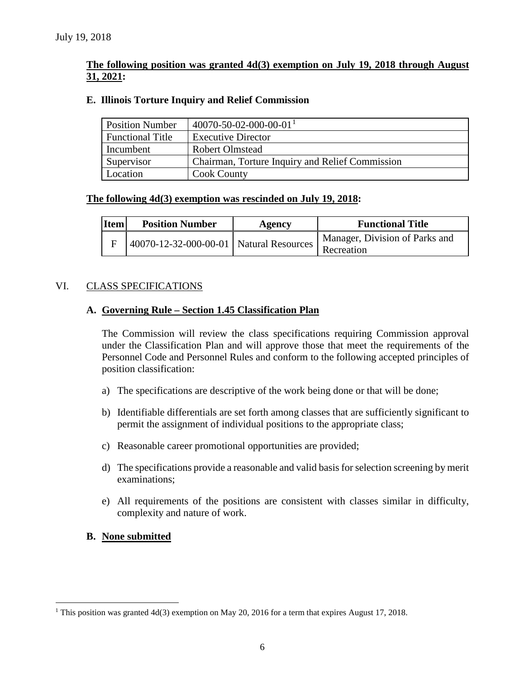# **The following position was granted 4d(3) exemption on July 19, 2018 through August 31, 2021:**

## **E. Illinois Torture Inquiry and Relief Commission**

| <b>Position Number</b>  | $40070 - 50 - 02 - 000 - 00 - 01$ <sup>1</sup>  |
|-------------------------|-------------------------------------------------|
| <b>Functional Title</b> | <b>Executive Director</b>                       |
| Incumbent               | <b>Robert Olmstead</b>                          |
| Supervisor              | Chairman, Torture Inquiry and Relief Commission |
| Location                | <b>Cook County</b>                              |

### **The following 4d(3) exemption was rescinded on July 19, 2018:**

| <b>Item</b> | <b>Position Number</b>                  | Agency | <b>Functional Title</b>                      |
|-------------|-----------------------------------------|--------|----------------------------------------------|
|             | 40070-12-32-000-00-01 Natural Resources |        | Manager, Division of Parks and<br>Recreation |

# VI. CLASS SPECIFICATIONS

# **A. Governing Rule – Section 1.45 Classification Plan**

The Commission will review the class specifications requiring Commission approval under the Classification Plan and will approve those that meet the requirements of the Personnel Code and Personnel Rules and conform to the following accepted principles of position classification:

- a) The specifications are descriptive of the work being done or that will be done;
- b) Identifiable differentials are set forth among classes that are sufficiently significant to permit the assignment of individual positions to the appropriate class;
- c) Reasonable career promotional opportunities are provided;
- d) The specifications provide a reasonable and valid basis for selection screening by merit examinations;
- e) All requirements of the positions are consistent with classes similar in difficulty, complexity and nature of work.
- **B. None submitted**

<span id="page-5-0"></span><sup>&</sup>lt;sup>1</sup> This position was granted  $4d(3)$  exemption on May 20, 2016 for a term that expires August 17, 2018.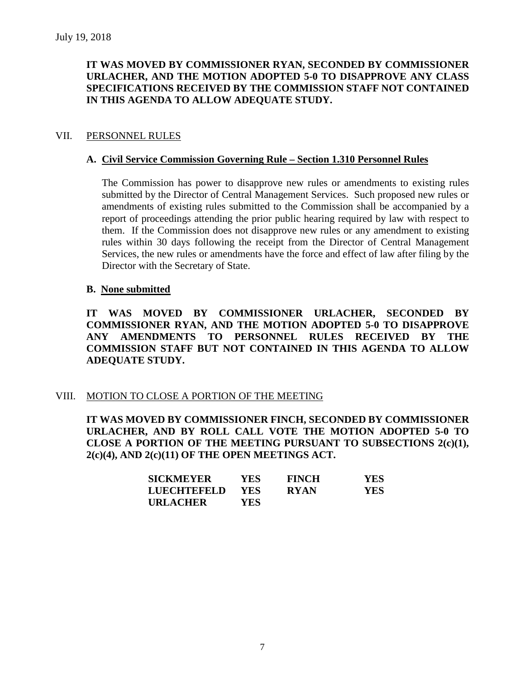# **IT WAS MOVED BY COMMISSIONER RYAN, SECONDED BY COMMISSIONER URLACHER, AND THE MOTION ADOPTED 5-0 TO DISAPPROVE ANY CLASS SPECIFICATIONS RECEIVED BY THE COMMISSION STAFF NOT CONTAINED IN THIS AGENDA TO ALLOW ADEQUATE STUDY.**

## VII. PERSONNEL RULES

### **A. Civil Service Commission Governing Rule – Section 1.310 Personnel Rules**

The Commission has power to disapprove new rules or amendments to existing rules submitted by the Director of Central Management Services. Such proposed new rules or amendments of existing rules submitted to the Commission shall be accompanied by a report of proceedings attending the prior public hearing required by law with respect to them. If the Commission does not disapprove new rules or any amendment to existing rules within 30 days following the receipt from the Director of Central Management Services, the new rules or amendments have the force and effect of law after filing by the Director with the Secretary of State.

### **B. None submitted**

**IT WAS MOVED BY COMMISSIONER URLACHER, SECONDED BY COMMISSIONER RYAN, AND THE MOTION ADOPTED 5-0 TO DISAPPROVE ANY AMENDMENTS TO PERSONNEL RULES RECEIVED BY THE COMMISSION STAFF BUT NOT CONTAINED IN THIS AGENDA TO ALLOW ADEQUATE STUDY.** 

### VIII. MOTION TO CLOSE A PORTION OF THE MEETING

**IT WAS MOVED BY COMMISSIONER FINCH, SECONDED BY COMMISSIONER URLACHER, AND BY ROLL CALL VOTE THE MOTION ADOPTED 5-0 TO CLOSE A PORTION OF THE MEETING PURSUANT TO SUBSECTIONS 2(c)(1), 2(c)(4), AND 2(c)(11) OF THE OPEN MEETINGS ACT.**

| <b>SICKMEYER</b>   | YES.       | <b>FINCH</b> | YES |
|--------------------|------------|--------------|-----|
| <b>LUECHTEFELD</b> | <b>YES</b> | <b>RYAN</b>  | YES |
| <b>URLACHER</b>    | YES        |              |     |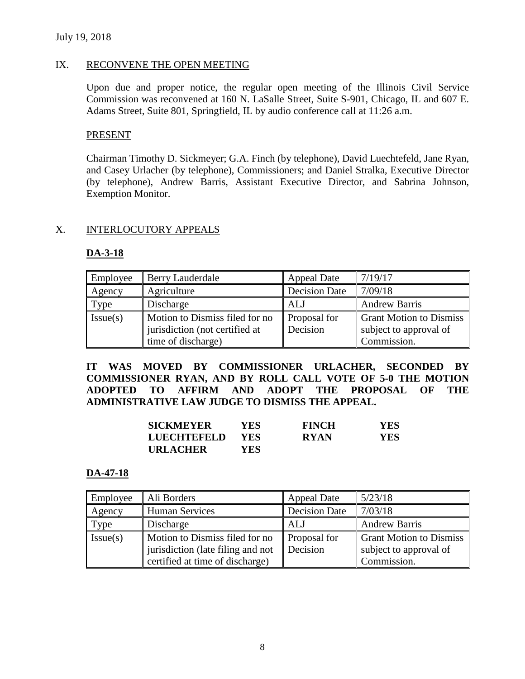## July 19, 2018

## IX. RECONVENE THE OPEN MEETING

Upon due and proper notice, the regular open meeting of the Illinois Civil Service Commission was reconvened at 160 N. LaSalle Street, Suite S-901, Chicago, IL and 607 E. Adams Street, Suite 801, Springfield, IL by audio conference call at 11:26 a.m.

## PRESENT

Chairman Timothy D. Sickmeyer; G.A. Finch (by telephone), David Luechtefeld, Jane Ryan, and Casey Urlacher (by telephone), Commissioners; and Daniel Stralka, Executive Director (by telephone), Andrew Barris, Assistant Executive Director, and Sabrina Johnson, Exemption Monitor.

# X. INTERLOCUTORY APPEALS

# **DA-3-18**

| Employee | Berry Lauderdale               | <b>Appeal Date</b>   | 7/19/17                        |
|----------|--------------------------------|----------------------|--------------------------------|
| Agency   | Agriculture                    | <b>Decision Date</b> | 7/09/18                        |
| Type     | Discharge                      | <b>ALJ</b>           | <b>Andrew Barris</b>           |
| Issue(s) | Motion to Dismiss filed for no | Proposal for         | <b>Grant Motion to Dismiss</b> |
|          | jurisdiction (not certified at | Decision             | subject to approval of         |
|          | time of discharge)             |                      | Commission.                    |

**IT WAS MOVED BY COMMISSIONER URLACHER, SECONDED BY COMMISSIONER RYAN, AND BY ROLL CALL VOTE OF 5-0 THE MOTION ADOPTED TO AFFIRM AND ADOPT THE PROPOSAL OF THE ADMINISTRATIVE LAW JUDGE TO DISMISS THE APPEAL.**

| <b>SICKMEYER</b> | YES- | <b>FINCH</b> | <b>YES</b> |
|------------------|------|--------------|------------|
| LUECHTEFELD      | YES  | <b>RYAN</b>  | YES        |
| <b>URLACHER</b>  | YES. |              |            |

### **DA-47-18**

| Employee | Ali Borders                                                                                            | <b>Appeal Date</b>       | 5/23/18                                                                 |
|----------|--------------------------------------------------------------------------------------------------------|--------------------------|-------------------------------------------------------------------------|
| Agency   | <b>Human Services</b>                                                                                  | <b>Decision Date</b>     | 7/03/18                                                                 |
| Type     | Discharge                                                                                              | ALJ                      | <b>Andrew Barris</b>                                                    |
| Issue(s) | Motion to Dismiss filed for no<br>jurisdiction (late filing and not<br>certified at time of discharge) | Proposal for<br>Decision | <b>Grant Motion to Dismiss</b><br>subject to approval of<br>Commission. |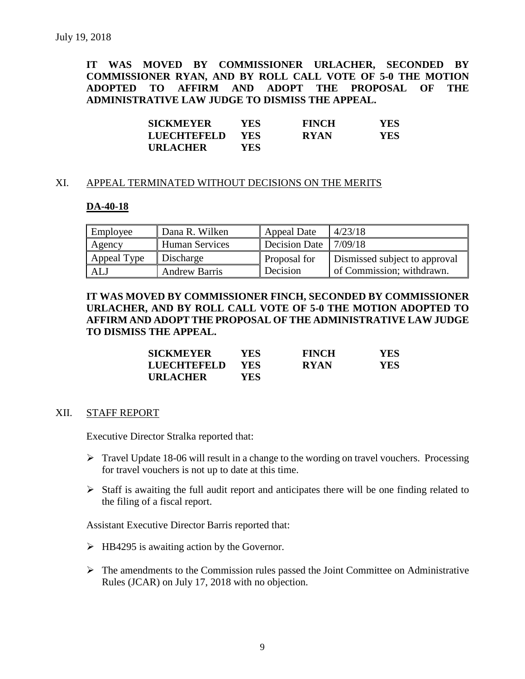**IT WAS MOVED BY COMMISSIONER URLACHER, SECONDED BY COMMISSIONER RYAN, AND BY ROLL CALL VOTE OF 5-0 THE MOTION ADOPTED TO AFFIRM AND ADOPT THE PROPOSAL OF THE ADMINISTRATIVE LAW JUDGE TO DISMISS THE APPEAL.**

| <b>SICKMEYER</b>   | YES        | <b>FINCH</b> | <b>YES</b> |
|--------------------|------------|--------------|------------|
| <b>LUECHTEFELD</b> | <b>YES</b> | <b>RYAN</b>  | YES.       |
| <b>URLACHER</b>    | YES        |              |            |

#### XI. APPEAL TERMINATED WITHOUT DECISIONS ON THE MERITS

#### **DA-40-18**

| Employee    | Dana R. Wilken       | <b>Appeal Date</b>               | 4/23/18                       |
|-------------|----------------------|----------------------------------|-------------------------------|
| Agency      | Human Services       | Decision Date $\frac{17}{09/18}$ |                               |
| Appeal Type | Discharge            | Proposal for                     | Dismissed subject to approval |
| ALJ         | <b>Andrew Barris</b> | Decision                         | of Commission; withdrawn.     |

**IT WAS MOVED BY COMMISSIONER FINCH, SECONDED BY COMMISSIONER URLACHER, AND BY ROLL CALL VOTE OF 5-0 THE MOTION ADOPTED TO AFFIRM AND ADOPT THE PROPOSAL OF THE ADMINISTRATIVE LAW JUDGE TO DISMISS THE APPEAL.**

| <b>SICKMEYER</b> | YES        | <b>FINCH</b> | YES. |
|------------------|------------|--------------|------|
| LUECHTEFELD      | <b>YES</b> | <b>RYAN</b>  | YES. |
| <b>URLACHER</b>  | YES        |              |      |

#### XII. STAFF REPORT

Executive Director Stralka reported that:

- $\triangleright$  Travel Update 18-06 will result in a change to the wording on travel vouchers. Processing for travel vouchers is not up to date at this time.
- $\triangleright$  Staff is awaiting the full audit report and anticipates there will be one finding related to the filing of a fiscal report.

Assistant Executive Director Barris reported that:

- $\triangleright$  HB4295 is awaiting action by the Governor.
- $\triangleright$  The amendments to the Commission rules passed the Joint Committee on Administrative Rules (JCAR) on July 17, 2018 with no objection.